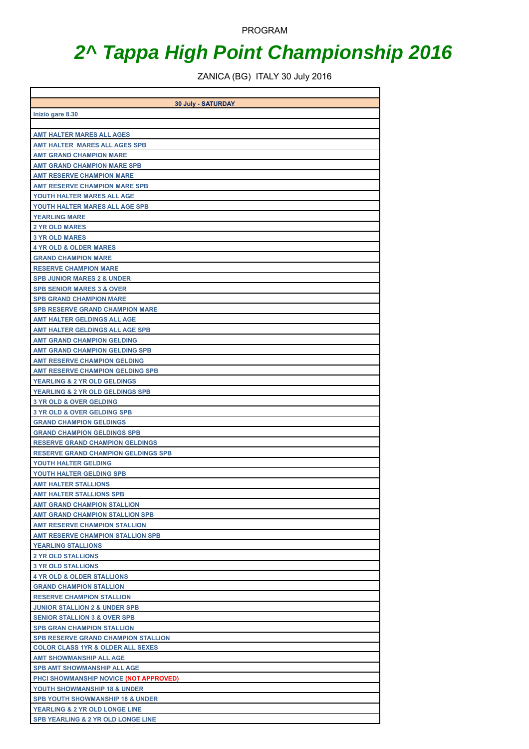PROGRAM

## **2^ Tappa High Point Championship 2016**

ZANICA (BG) ITALY 30 July 2016

|                                                                          | 30 July - SATURDAY |
|--------------------------------------------------------------------------|--------------------|
| Inizio gare 8.30                                                         |                    |
|                                                                          |                    |
| <b>AMT HALTER MARES ALL AGES</b><br><b>AMT HALTER MARES ALL AGES SPB</b> |                    |
| <b>AMT GRAND CHAMPION MARE</b>                                           |                    |
| <b>AMT GRAND CHAMPION MARE SPB</b>                                       |                    |
| <b>AMT RESERVE CHAMPION MARE</b>                                         |                    |
| <b>AMT RESERVE CHAMPION MARE SPB</b>                                     |                    |
| YOUTH HALTER MARES ALL AGE                                               |                    |
| YOUTH HALTER MARES ALL AGE SPB                                           |                    |
| <b>YEARLING MARE</b>                                                     |                    |
| <b>2 YR OLD MARES</b>                                                    |                    |
| <b>3 YR OLD MARES</b>                                                    |                    |
| <b>4 YR OLD &amp; OLDER MARES</b>                                        |                    |
| <b>GRAND CHAMPION MARE</b>                                               |                    |
| <b>RESERVE CHAMPION MARE</b>                                             |                    |
| <b>SPB JUNIOR MARES 2 &amp; UNDER</b>                                    |                    |
| <b>SPB SENIOR MARES 3 &amp; OVER</b>                                     |                    |
| <b>SPB GRAND CHAMPION MARE</b>                                           |                    |
| <b>SPB RESERVE GRAND CHAMPION MARE</b>                                   |                    |
| <b>AMT HALTER GELDINGS ALL AGE</b>                                       |                    |
| AMT HALTER GELDINGS ALL AGE SPB<br><b>AMT GRAND CHAMPION GELDING</b>     |                    |
| <b>AMT GRAND CHAMPION GELDING SPB</b>                                    |                    |
| <b>AMT RESERVE CHAMPION GELDING</b>                                      |                    |
| <b>AMT RESERVE CHAMPION GELDING SPB</b>                                  |                    |
| <b>YEARLING &amp; 2 YR OLD GELDINGS</b>                                  |                    |
| YEARLING & 2 YR OLD GELDINGS SPB                                         |                    |
| <b>3 YR OLD &amp; OVER GELDING</b>                                       |                    |
| <b>3 YR OLD &amp; OVER GELDING SPB</b>                                   |                    |
| <b>GRAND CHAMPION GELDINGS</b>                                           |                    |
| <b>GRAND CHAMPION GELDINGS SPB</b>                                       |                    |
| <b>RESERVE GRAND CHAMPION GELDINGS</b>                                   |                    |
| <b>RESERVE GRAND CHAMPION GELDINGS SPB</b>                               |                    |
| YOUTH HALTER GELDING                                                     |                    |
| YOUTH HALTER GELDING SPB                                                 |                    |
| <b>AMT HALTER STALLIONS</b>                                              |                    |
| <b>AMT HALTER STALLIONS SPB</b>                                          |                    |
| <b>AMT GRAND CHAMPION STALLION</b>                                       |                    |
| AMT GRAND CHAMPION STALLION SPB                                          |                    |
| <b>AMT RESERVE CHAMPION STALLION</b>                                     |                    |
| <b>AMT RESERVE CHAMPION STALLION SPB</b>                                 |                    |
| <b>YEARLING STALLIONS</b><br><b>2 YR OLD STALLIONS</b>                   |                    |
| <b>3 YR OLD STALLIONS</b>                                                |                    |
| <b>4 YR OLD &amp; OLDER STALLIONS</b>                                    |                    |
| <b>GRAND CHAMPION STALLION</b>                                           |                    |
| <b>RESERVE CHAMPION STALLION</b>                                         |                    |
| <b>JUNIOR STALLION 2 &amp; UNDER SPB</b>                                 |                    |
| <b>SENIOR STALLION 3 &amp; OVER SPB</b>                                  |                    |
| <b>SPB GRAN CHAMPION STALLION</b>                                        |                    |
| <b>SPB RESERVE GRAND CHAMPION STALLION</b>                               |                    |
| <b>COLOR CLASS 1YR &amp; OLDER ALL SEXES</b>                             |                    |
| <b>AMT SHOWMANSHIP ALL AGE</b>                                           |                    |
| <b>SPB AMT SHOWMANSHIP ALL AGE</b>                                       |                    |
| PHCI SHOWMANSHIP NOVICE (NOT APPROVED)                                   |                    |
| YOUTH SHOWMANSHIP 18 & UNDER                                             |                    |
| <b>SPB YOUTH SHOWMANSHIP 18 &amp; UNDER</b>                              |                    |
| YEARLING & 2 YR OLD LONGE LINE                                           |                    |
| SPB YEARLING & 2 YR OLD LONGE LINE                                       |                    |